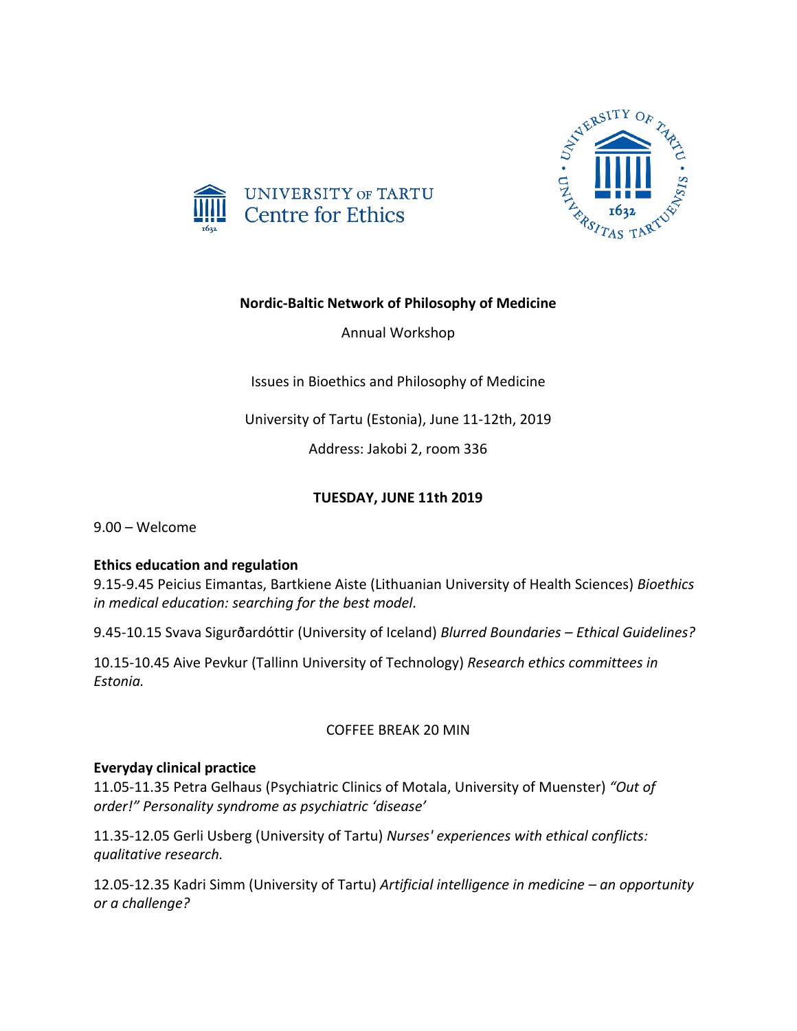



# **Nordic-Baltic Network of Philosophy of Medicine**

Annual Workshop

Issues in Bioethics and Philosophy of Medicine

University of Tartu (Estonia), June 11-12th, 2019

Address: Jakobi 2, room 336

# **TUESDAY, JUNE 11th 2019**

9.00 – Welcome

## **Ethics education and regulation**

9.15-9.45 Peicius Eimantas, Bartkiene Aiste (Lithuanian University of Health Sciences) *Bioethics in medical education: searching for the best model.*

9.45-10.15 Svava Sigurðardóttir (University of Iceland) *Blurred Boundaries – Ethical Guidelines?*

10.15-10.45 Aive Pevkur (Tallinn University of Technology) *Research ethics committees in Estonia.*

# COFFEE BREAK 20 MIN

## **Everyday clinical practice**

11.05-11.35 Petra Gelhaus (Psychiatric Clinics of Motala, University of Muenster) *"Out of order!" Personality syndrome as psychiatric 'disease'*

11.35-12.05 Gerli Usberg (University of Tartu) *Nurses' experiences with ethical conflicts: qualitative research.*

12.05-12.35 Kadri Simm (University of Tartu) *Artificial intelligence in medicine – an opportunity or a challenge?*